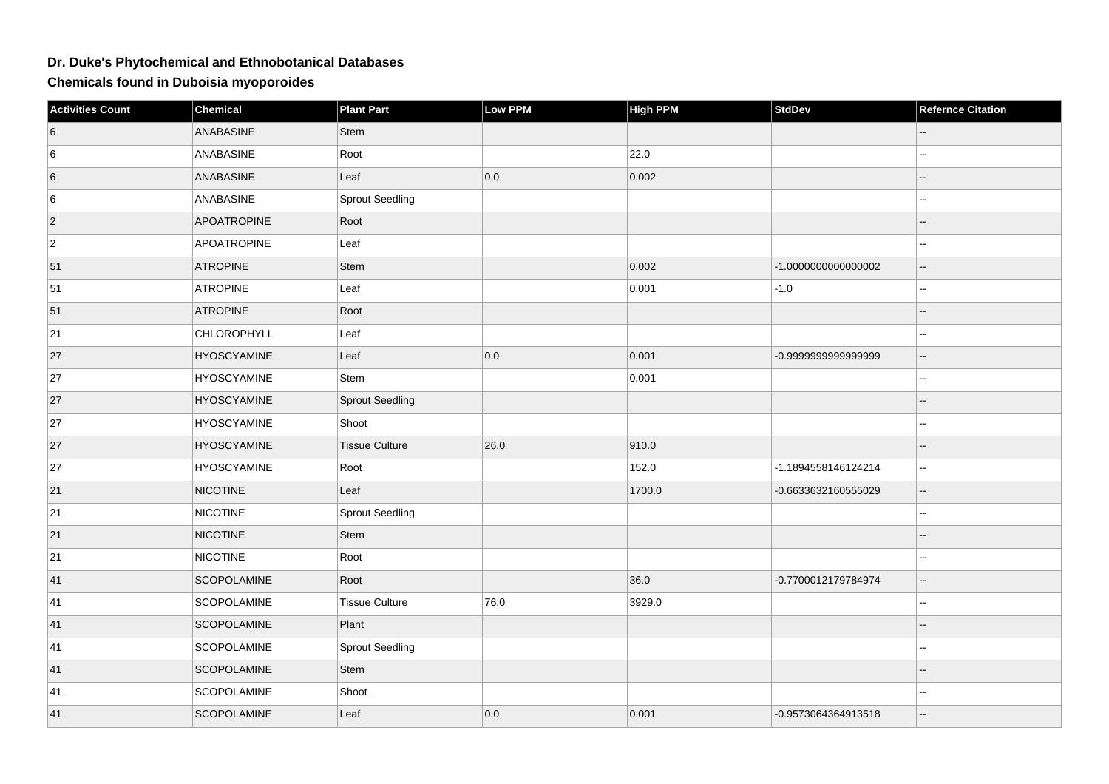## **Dr. Duke's Phytochemical and Ethnobotanical Databases**

**Chemicals found in Duboisia myoporoides**

| Activities Count | <b>Chemical</b>    | <b>Plant Part</b>      | <b>Low PPM</b> | <b>High PPM</b> | <b>StdDev</b>       | <b>Refernce Citation</b>                      |
|------------------|--------------------|------------------------|----------------|-----------------|---------------------|-----------------------------------------------|
| 6                | ANABASINE          | <b>Stem</b>            |                |                 |                     |                                               |
| 6                | ANABASINE          | Root                   |                | 22.0            |                     | Щ,                                            |
| 6                | ANABASINE          | Leaf                   | 0.0            | 0.002           |                     |                                               |
| 6                | ANABASINE          | Sprout Seedling        |                |                 |                     | 44                                            |
| $\overline{c}$   | <b>APOATROPINE</b> | Root                   |                |                 |                     | --                                            |
| $\overline{2}$   | APOATROPINE        | Leaf                   |                |                 |                     |                                               |
| 51               | <b>ATROPINE</b>    | Stem                   |                | 0.002           | -1.000000000000002  | $\mathbf{u}$                                  |
| 51               | <b>ATROPINE</b>    | Leaf                   |                | 0.001           | $-1.0$              | Щ,                                            |
| 51               | <b>ATROPINE</b>    | Root                   |                |                 |                     |                                               |
| 21               | CHLOROPHYLL        | Leaf                   |                |                 |                     | $\overline{a}$                                |
| 27               | <b>HYOSCYAMINE</b> | Leaf                   | 0.0            | 0.001           | -0.9999999999999999 | $\mathord{\hspace{1pt}\text{--}\hspace{1pt}}$ |
| 27               | <b>HYOSCYAMINE</b> | <b>Stem</b>            |                | 0.001           |                     | ۵.                                            |
| 27               | <b>HYOSCYAMINE</b> | Sprout Seedling        |                |                 |                     |                                               |
| 27               | <b>HYOSCYAMINE</b> | Shoot                  |                |                 |                     | ц,                                            |
| 27               | <b>HYOSCYAMINE</b> | <b>Tissue Culture</b>  | 26.0           | 910.0           |                     |                                               |
| 27               | <b>HYOSCYAMINE</b> | Root                   |                | 152.0           | -1.1894558146124214 | 44                                            |
| 21               | <b>NICOTINE</b>    | Leaf                   |                | 1700.0          | -0.6633632160555029 | $\overline{\phantom{a}}$                      |
| 21               | <b>NICOTINE</b>    | <b>Sprout Seedling</b> |                |                 |                     | ц,                                            |
| 21               | <b>NICOTINE</b>    | Stem                   |                |                 |                     |                                               |
| 21               | <b>NICOTINE</b>    | Root                   |                |                 |                     | --                                            |
| 41               | SCOPOLAMINE        | Root                   |                | 36.0            | -0.7700012179784974 | $\qquad \qquad -$                             |
| 41               | SCOPOLAMINE        | <b>Tissue Culture</b>  | 76.0           | 3929.0          |                     |                                               |
| 41               | <b>SCOPOLAMINE</b> | Plant                  |                |                 |                     | --                                            |
| 41               | SCOPOLAMINE        | <b>Sprout Seedling</b> |                |                 |                     |                                               |
| 41               | SCOPOLAMINE        | Stem                   |                |                 |                     |                                               |
| 41               | SCOPOLAMINE        | Shoot                  |                |                 |                     | ۵.                                            |
| 41               | SCOPOLAMINE        | Leaf                   | 0.0            | 0.001           | -0.9573064364913518 | --                                            |